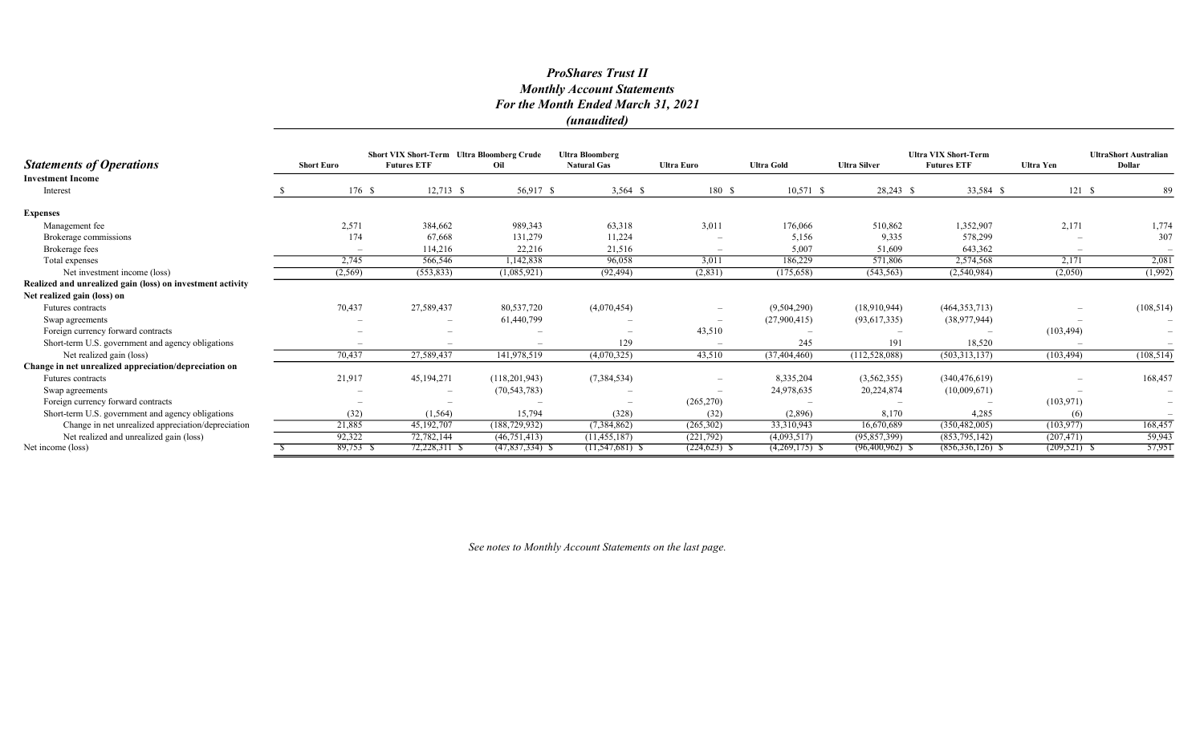**Statements of Operations** Short Euro Short VIX Short-Term Ultra Bloomberg Crude Futures ETF Oil Ultra Bloomberg Natural Gas Ultra Euro Ultra Gold Ultra Silver Ultra VIX Short-Term Futures ETF Ultra Yen UltraShort Australian Dollar Investment Income Interest 5 5 5,917 \$ 56,917 \$ 3,564 \$ 10,571 \$ 28,243 \$ 33,584 \$ 121 \$ 89 Expenses Management fee 2001 2,571 384,662 989,343 63,318 3,011 176,066 510,862 1,352,907 2,171 1,774 Brokerage commissions 174 174 67,668 131,279 11,224 - 5,156 9,335 578,299 - 578,299 179 Brokerage fees – 114,216 22,216 21,516 – 5,007 51,609 643,362 – – Total expenses 20081 2,745 566,546 1,142,838 96,058 3,011 186,229 571,806 2,574,568 2,171 2,081 Net investment income (loss) (1,992) (2,569) (553,833) (1,085,921) (92,494) (2,831) (175,658) (543,563) (2,540,984) (2,050) (1,992) Realized and unrealized gain (loss) on investment activity Net realized gain (loss) on Futures contracts 70,437 27,589,437 80,537,720 (4,070,454) – (9,504,290) (18,910,944) (464,353,713) – (108,514) Swap agreements – – 61,440,799 – – (27,900,415) (93,617,335) (38,977,944) – – Foreign currency forward contracts – – – – 43,510 – – – (103,494) – Short-term U.S. government and agency obligations – – – – – – – – – – – – – – 245 191 18,520 Net realized gain (loss) **108,514** 108,514) 70,437 27,589,437 141,978,519 (4,070,325) 43,510 (37,404,460) (112,528,088) (503,313,137) (103,494) (108,514) Change in net unrealized appreciation/depreciation on Futures contracts 21,917 45,194,271 (118,201,943) (7,384,534) – 8,335,204 (3,562,355) (340,476,619) – 168,457 Swap agreements – – (70,543,783) – – 24,978,635 20,224,874 (10,009,671) – – Foreign currency forward contracts – – – – – – – (265,270) – – – (265,270) – – (103,971) Short-term U.S. government and agency obligations (32) (1,564) (1,564) 15,794 (328) (328) (328) (2,896) 8,170 4,285 (6) Change in net unrealized appreciation/depreciation 21,885 45,192,707 (188,729,932) (7,384,862) (265,302) 33,310,943 16,670,689 (350,482,005) (103,977) 168,457 Net realized and unrealized gain (loss) <br>
The (loss) and unrealized gain (loss) <br>
The (loss) and unrealized gain (loss) <br>
The Sample of the Contact Contact (11,547,681) & C24,623) & C24,623) & C24,623) & C356,336,126) & C2 Net income (loss) 6 89,753 \$ 89,753 \$ 72,228,311 \$  $(47,837,334)$  \$  $(11,547,681)$  \$  $(224,623)$  \$  $(4,269,175)$  \$  $(96,400,962)$  \$  $(856,336,126)$  \$  $(209,521)$  \$ 57,951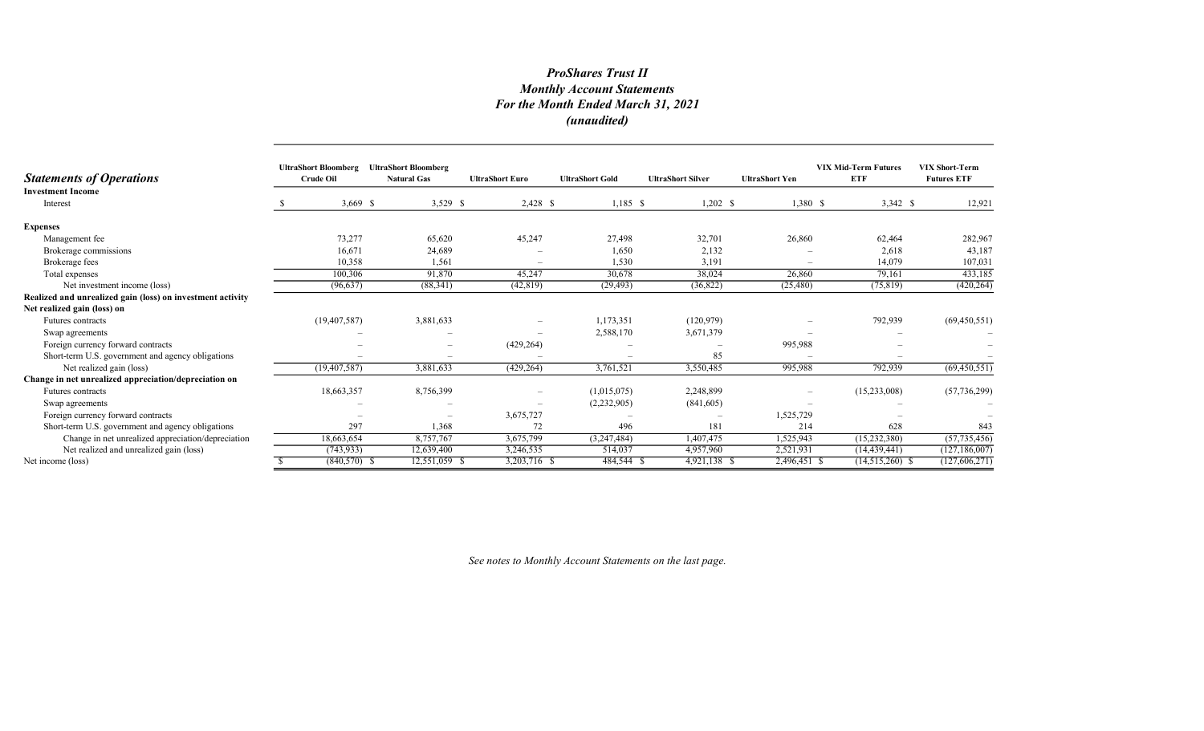| <b>Statements of Operations</b>                            | <b>UltraShort Bloomberg</b><br><b>Crude Oil</b> | <b>UltraShort Bloomberg</b><br><b>Natural Gas</b> | <b>UltraShort Euro</b> | <b>UltraShort Gold</b> | <b>UltraShort Silver</b> | <b>UltraShort Yen</b>    | <b>VIX Mid-Term Futures</b><br><b>ETF</b> | <b>VIX Short-Term</b><br><b>Futures ETF</b> |
|------------------------------------------------------------|-------------------------------------------------|---------------------------------------------------|------------------------|------------------------|--------------------------|--------------------------|-------------------------------------------|---------------------------------------------|
| <b>Investment Income</b><br>Interest                       | $3,669$ \$                                      | 3,529 \$                                          | $2,428$ \$             | $1,185$ \$             | $1,202 \quad$ \$         | $1,380$ \$               | $3,342$ \$                                | 12,921                                      |
| <b>Expenses</b>                                            |                                                 |                                                   |                        |                        |                          |                          |                                           |                                             |
| Management fee                                             | 73,277                                          | 65,620                                            | 45,247                 | 27,498                 | 32,701                   | 26,860                   | 62,464                                    | 282,967                                     |
| Brokerage commissions                                      | 16,671                                          | 24,689                                            |                        | 1,650                  | 2,132                    |                          | 2,618                                     | 43,187                                      |
| Brokerage fees                                             | 10,358                                          | 1,561                                             |                        | 1,530                  | 3,191                    |                          | 14,079                                    | 107,031                                     |
| Total expenses                                             | 100,306                                         | 91.870                                            | 45,247                 | 30,678                 | 38,024                   | 26,860                   | 79,161                                    | 433,185                                     |
| Net investment income (loss)                               | (96, 637)                                       | (88, 341)                                         | (42, 819)              | (29, 493)              | (36,822)                 | (25, 480)                | (75, 819)                                 | (420, 264)                                  |
| Realized and unrealized gain (loss) on investment activity |                                                 |                                                   |                        |                        |                          |                          |                                           |                                             |
| Net realized gain (loss) on                                |                                                 |                                                   |                        |                        |                          |                          |                                           |                                             |
| Futures contracts                                          | (19, 407, 587)                                  | 3,881,633                                         |                        | 1,173,351              | (120, 979)               |                          | 792,939                                   | (69, 450, 551)                              |
| Swap agreements                                            |                                                 |                                                   |                        | 2,588,170              | 3,671,379                |                          |                                           |                                             |
| Foreign currency forward contracts                         |                                                 | $\overline{\phantom{0}}$                          | (429, 264)             |                        |                          | 995,988                  |                                           |                                             |
| Short-term U.S. government and agency obligations          |                                                 |                                                   |                        |                        | 85                       |                          |                                           |                                             |
| Net realized gain (loss)                                   | (19, 407, 587)                                  | 3,881,633                                         | (429, 264)             | 3,761,521              | 3,550,485                | 995,988                  | 792,939                                   | (69, 450, 551)                              |
| Change in net unrealized appreciation/depreciation on      |                                                 |                                                   |                        |                        |                          |                          |                                           |                                             |
| Futures contracts                                          | 18,663,357                                      | 8,756,399                                         |                        | (1,015,075)            | 2,248,899                | $\overline{\phantom{0}}$ | (15,233,008)                              | (57, 736, 299)                              |
| Swap agreements                                            |                                                 |                                                   |                        | (2,232,905)            | (841,605)                |                          |                                           |                                             |
| Foreign currency forward contracts                         |                                                 |                                                   | 3,675,727              |                        |                          | 1,525,729                |                                           |                                             |
| Short-term U.S. government and agency obligations          | 297                                             | 1.368                                             | 72                     | 496                    | 181                      | 214                      | 628                                       | 843                                         |
| Change in net unrealized appreciation/depreciation         | 18,663,654                                      | 8,757,767                                         | 3,675,799              | (3,247,484)            | 1,407,475                | 1,525,943                | (15,232,380)                              | (57, 735, 456)                              |
| Net realized and unrealized gain (loss)                    | (743, 933)                                      | 12,639,400                                        | 3,246,535              | 514,037                | 4,957,960                | 2,521,931                | (14, 439, 441)                            | (127, 186, 007)                             |
| Net income (loss)                                          | $(840,570)$ \$                                  | 12,551,059 \$                                     | 3,203,716 \$           | 484,544 \$             | 4,921,138 \$             | 2,496,451 \$             | $(14,515,260)$ \$                         | (127,606,271)                               |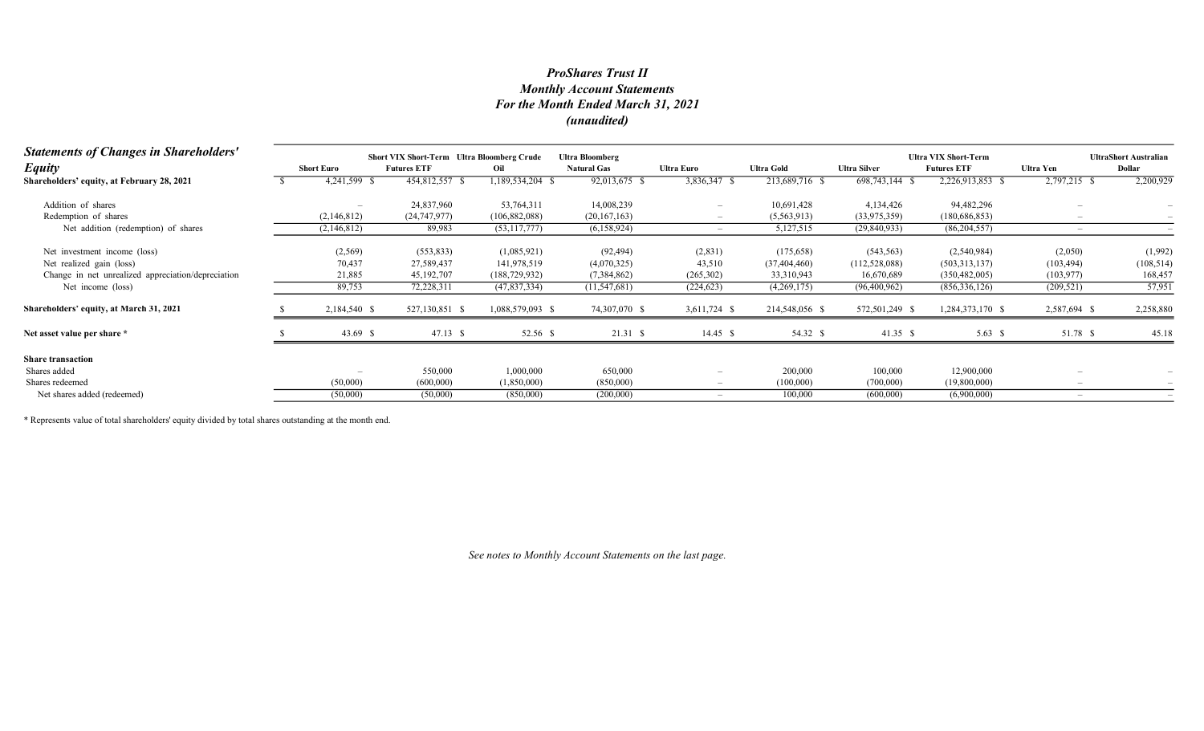| <b>Statements of Changes in Shareholders'</b>      | <b>Short VIX Short-Term Ultra Bloomberg Crude</b><br><b>Ultra Bloomberg</b> |                    |                  |                    |                          |                   |                     | <b>Ultra VIX Short-Term</b> |              | <b>UltraShort Australian</b> |  |
|----------------------------------------------------|-----------------------------------------------------------------------------|--------------------|------------------|--------------------|--------------------------|-------------------|---------------------|-----------------------------|--------------|------------------------------|--|
| <b>Equity</b>                                      | <b>Short Euro</b>                                                           | <b>Futures ETF</b> | Oil              | <b>Natural Gas</b> | Ultra Euro               | <b>Ultra Gold</b> | <b>Ultra Silver</b> | <b>Futures ETF</b>          | Ultra Yen    | Dollar                       |  |
| Shareholders' equity, at February 28, 2021         | 4,241,599 \$                                                                | 454,812,557 \$     | 189,534,204 \$   | 92,013,675         | 3,836,347 \$             | 213,689,716 \$    | 698,743,144 \$      | 2,226,913,853 \$            | 2,797,215 \$ | 2,200,929                    |  |
| Addition of shares                                 |                                                                             | 24,837,960         | 53,764,311       | 14,008,239         |                          | 10,691,428        | 4,134,426           | 94,482,296                  |              |                              |  |
| Redemption of shares                               | (2,146,812)                                                                 | (24, 747, 977)     | (106, 882, 088)  | (20,167,163)       |                          | (5,563,913)       | (33,975,359)        | (180, 686, 853)             |              |                              |  |
| Net addition (redemption) of shares                | (2,146,812)                                                                 | 89,983             | (53, 117, 777)   | (6,158,924)        |                          | 5,127,515         | (29, 840, 933)      | (86, 204, 557)              |              |                              |  |
| Net investment income (loss)                       | (2,569)                                                                     | (553, 833)         | (1,085,921)      | (92, 494)          | (2,831)                  | (175, 658)        | (543, 563)          | (2,540,984)                 | (2,050)      | (1,992)                      |  |
| Net realized gain (loss)                           | 70,437                                                                      | 27,589,437         | 141,978,519      | (4,070,325)        | 43,510                   | (37, 404, 460)    | (112, 528, 088)     | (503, 313, 137)             | (103, 494)   | (108, 514)                   |  |
| Change in net unrealized appreciation/depreciation | 21,885                                                                      | 45,192,707         | (188, 729, 932)  | (7,384,862)        | (265, 302)               | 33,310,943        | 16,670,689          | (350, 482, 005)             | (103, 977)   | 168,457                      |  |
| Net income (loss)                                  | 89,753                                                                      | 72,228,311         | (47, 837, 334)   | (11, 547, 681)     | (224, 623)               | (4,269,175)       | (96,400,962)        | (856, 336, 126)             | (209, 521)   | 57,951                       |  |
| Shareholders' equity, at March 31, 2021            | 2,184,540 \$                                                                | 527,130,851 \$     | 1,088,579,093 \$ | 74,307,070 \$      | 3,611,724 \$             | 214,548,056 \$    | 572,501,249 \$      | 1,284,373,170 \$            | 2,587,694 \$ | 2,258,880                    |  |
| Net asset value per share *                        | 43.69 \$                                                                    | $47.13$ \$         | 52.56 \$         | 21.31 S            | $14.45 \text{ }$ \$      | 54.32 \$          | 41.35 \$            | 5.63 $\sqrt{5}$             | 51.78 \$     | 45.18                        |  |
| <b>Share transaction</b>                           |                                                                             |                    |                  |                    |                          |                   |                     |                             |              |                              |  |
| Shares added                                       | $\overline{\phantom{a}}$                                                    | 550,000            | 1,000,000        | 650,000            | $\overline{\phantom{0}}$ | 200,000           | 100,000             | 12,900,000                  |              |                              |  |
| Shares redeemed                                    | (50,000)                                                                    | (600,000)          | (1,850,000)      | (850,000)          |                          | (100,000)         | (700,000)           | (19,800,000)                |              |                              |  |
| Net shares added (redeemed)                        | (50,000)                                                                    | (50,000)           | (850,000)        | (200,000)          |                          | 100,000           | (600,000)           | (6,900,000)                 |              |                              |  |

\* Represents value of total shareholders' equity divided by total shares outstanding at the month end.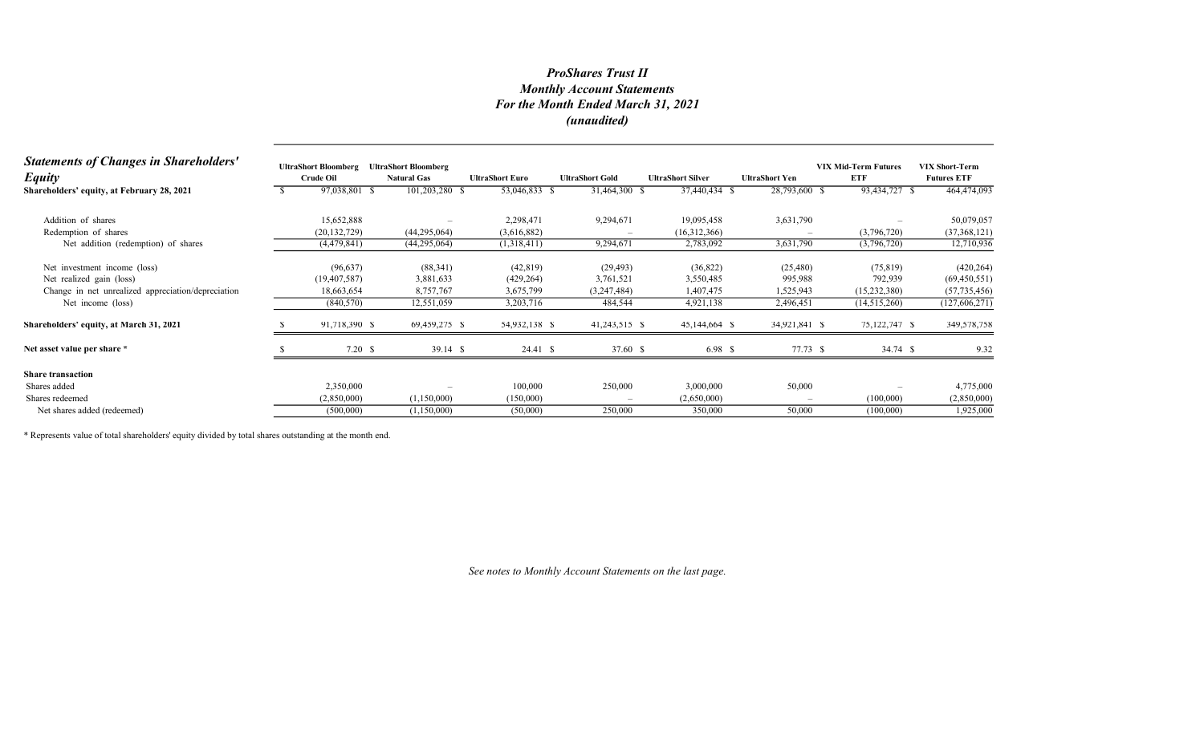| <b>Statements of Changes in Shareholders'</b><br><b>Equity</b> | <b>UltraShort Bloomberg</b><br><b>Crude Oil</b> | <b>UltraShort Bloomberg</b><br><b>Natural Gas</b> | <b>UltraShort Euro</b> | <b>UltraShort Gold</b> | <b>UltraShort Silver</b> | <b>UltraShort Yen</b>    | <b>VIX Mid-Term Futures</b><br>ETF | <b>VIX Short-Term</b><br><b>Futures ETF</b> |
|----------------------------------------------------------------|-------------------------------------------------|---------------------------------------------------|------------------------|------------------------|--------------------------|--------------------------|------------------------------------|---------------------------------------------|
| Shareholders' equity, at February 28, 2021                     | 97,038,801 \$                                   | 101,203,280 \$                                    | 53,046,833 \$          | 31,464,300 \$          | 37,440,434 \$            | 28,793,600 \$            | 93,434,727 \$                      | 464,474,093                                 |
| Addition of shares                                             | 15,652,888                                      |                                                   | 2,298,471              | 9,294,671              | 19,095,458               | 3,631,790                |                                    | 50,079,057                                  |
| Redemption of shares                                           | (20, 132, 729)                                  | (44, 295, 064)                                    | (3,616,882)            |                        | (16,312,366)             |                          | (3,796,720)                        | (37,368,121)                                |
| Net addition (redemption) of shares                            | (4,479,841)                                     | (44,295,064)                                      | (1,318,411)            | 9,294,671              | 2,783,092                | 3,631,790                | (3,796,720)                        | 12,710,936                                  |
| Net investment income (loss)                                   | (96, 637)                                       | (88, 341)                                         | (42, 819)              | (29, 493)              | (36,822)                 | (25, 480)                | (75, 819)                          | (420, 264)                                  |
| Net realized gain (loss)                                       | (19, 407, 587)                                  | 3,881,633                                         | (429, 264)             | 3,761,521              | 3,550,485                | 995,988                  | 792,939                            | (69, 450, 551)                              |
| Change in net unrealized appreciation/depreciation             | 18,663,654                                      | 8,757,767                                         | 3,675,799              | (3,247,484)            | 1,407,475                | 1,525,943                | (15,232,380)                       | (57, 735, 456)                              |
| Net income (loss)                                              | (840, 570)                                      | 12,551,059                                        | 3,203,716              | 484,544                | 4,921,138                | 2,496,451                | (14,515,260)                       | (127, 606, 271)                             |
| Shareholders' equity, at March 31, 2021                        | 91,718,390 \$                                   | 69,459,275 \$                                     | 54,932,138 \$          | 41,243,515 \$          | 45,144,664 \$            | 34,921,841 \$            | 75,122,747 \$                      | 349,578,758                                 |
| Net asset value per share *                                    | 7.20 S                                          | $39.14$ \$                                        | 24.41 \$               | 37.60 \$               | 6.98 \$                  | 77.73 \$                 | 34.74 \$                           | 9.32                                        |
| <b>Share transaction</b>                                       |                                                 |                                                   |                        |                        |                          |                          |                                    |                                             |
| Shares added                                                   | 2,350,000                                       |                                                   | 100,000                | 250,000                | 3,000,000                | 50,000                   |                                    | 4,775,000                                   |
| Shares redeemed                                                | (2,850,000)                                     | (1,150,000)                                       | (150,000)              |                        | (2,650,000)              | $\overline{\phantom{a}}$ | (100,000)                          | (2,850,000)                                 |
| Net shares added (redeemed)                                    | (500,000)                                       | (1,150,000)                                       | (50,000)               | 250,000                | 350,000                  | 50,000                   | (100,000)                          | 1,925,000                                   |

\* Represents value of total shareholders' equity divided by total shares outstanding at the month end.